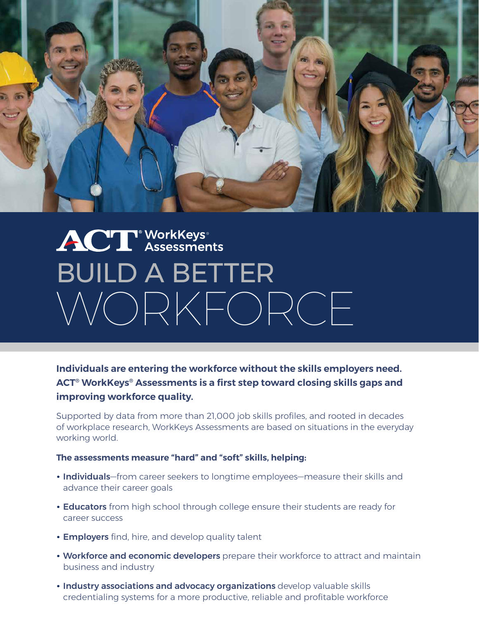

## **ACT** WorkKeys<sup>®</sup> BUILD A BETTER WORKFORCE

**Individuals are entering the workforce without the skills employers need. ACT® WorkKeys® Assessments is a first step toward closing skills gaps and improving workforce quality.** 

Supported by data from more than 21,000 job skills profiles, and rooted in decades of workplace research, WorkKeys Assessments are based on situations in the everyday working world.

**The assessments measure "hard" and "soft" skills, helping:** 

- Individuals–from career seekers to longtime employees–measure their skills and advance their career goals
- • Educators from high school through college ensure their students are ready for career success
- Employers find, hire, and develop quality talent
- Workforce and economic developers prepare their workforce to attract and maintain business and industry
- • Industry associations and advocacy organizations develop valuable skills credentialing systems for a more productive, reliable and profitable workforce